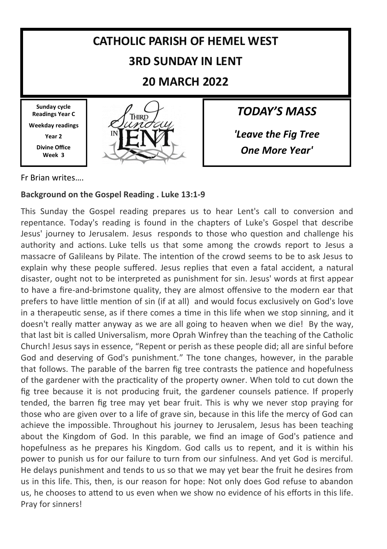

Fr Brian writes….

#### **Background on the Gospel Reading . Luke 13:1-9**

This Sunday the Gospel reading prepares us to hear Lent's call to conversion and repentance. Today's reading is found in the chapters of Luke's Gospel that describe Jesus' journey to Jerusalem. Jesus responds to those who question and challenge his authority and actions. Luke tells us that some among the crowds report to Jesus a massacre of Galileans by Pilate. The intention of the crowd seems to be to ask Jesus to explain why these people suffered. Jesus replies that even a fatal accident, a natural disaster, ought not to be interpreted as punishment for sin. Jesus' words at first appear to have a fire-and-brimstone quality, they are almost offensive to the modern ear that prefers to have little mention of sin (if at all) and would focus exclusively on God's love in a therapeutic sense, as if there comes a time in this life when we stop sinning, and it doesn't really matter anyway as we are all going to heaven when we die! By the way, that last bit is called Universalism, more Oprah Winfrey than the teaching of the Catholic Church! Jesus says in essence, "Repent or perish as these people did; all are sinful before God and deserving of God's punishment." The tone changes, however, in the parable that follows. The parable of the barren fig tree contrasts the patience and hopefulness of the gardener with the practicality of the property owner. When told to cut down the fig tree because it is not producing fruit, the gardener counsels patience. If properly tended, the barren fig tree may yet bear fruit. This is why we never stop praying for those who are given over to a life of grave sin, because in this life the mercy of God can achieve the impossible. Throughout his journey to Jerusalem, Jesus has been teaching about the Kingdom of God. In this parable, we find an image of God's patience and hopefulness as he prepares his Kingdom. God calls us to repent, and it is within his power to punish us for our failure to turn from our sinfulness. And yet God is merciful. He delays punishment and tends to us so that we may yet bear the fruit he desires from us in this life. This, then, is our reason for hope: Not only does God refuse to abandon us, he chooses to attend to us even when we show no evidence of his efforts in this life. Pray for sinners!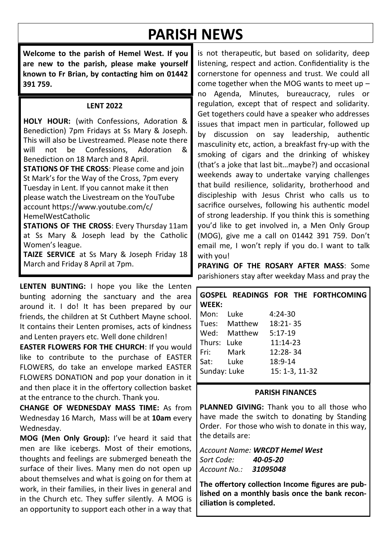# **PARISH NEWS**

**Welcome to the parish of Hemel West. If you are new to the parish, please make yourself known to Fr Brian, by contacting him on 01442 391 759.**

#### **LENT 2022**

**HOLY HOUR:** (with Confessions, Adoration & Benediction) 7pm Fridays at Ss Mary & Joseph. This will also be Livestreamed. Please note there<br>will not be Confessions Adoration & will not be Confessions, Adoration & Benediction on 18 March and 8 April.

**STATIONS OF THE CROSS**: Please come and join St Mark's for the Way of the Cross, 7pm every Tuesday in Lent. If you cannot make it then please watch the Livestream on the YouTube account https://www.youtube.com/c/ HemelWestCatholic

**STATIONS OF THE CROSS**: Every Thursday 11am at Ss Mary & Joseph lead by the Catholic Women's league.

**TAIZE SERVICE** at Ss Mary & Joseph Friday 18 March and Friday 8 April at 7pm.

**LENTEN BUNTING:** I hope you like the Lenten bunting adorning the sanctuary and the area around it. I do! It has been prepared by our friends, the children at St Cuthbert Mayne school. It contains their Lenten promises, acts of kindness and Lenten prayers etc. Well done children!

**EASTER FLOWERS FOR THE CHURCH**: If you would like to contribute to the purchase of EASTER FLOWERS, do take an envelope marked EASTER FLOWERS DONATION and pop your donation in it and then place it in the offertory collection basket at the entrance to the church. Thank you.

**CHANGE OF WEDNESDAY MASS TIME:** As from Wednesday 16 March, Mass will be at **10am** every Wednesday.

**MOG (Men Only Group):** I've heard it said that men are like icebergs. Most of their emotions, thoughts and feelings are submerged beneath the surface of their lives. Many men do not open up about themselves and what is going on for them at work, in their families, in their lives in general and in the Church etc. They suffer silently. A MOG is an opportunity to support each other in a way that

is not therapeutic, but based on solidarity, deep listening, respect and action. Confidentiality is the cornerstone for openness and trust. We could all come together when the MOG wants to meet up – no Agenda, Minutes, bureaucracy, rules or regulation, except that of respect and solidarity. Get togethers could have a speaker who addresses issues that impact men in particular, followed up by discussion on say leadership, authentic masculinity etc, action, a breakfast fry-up with the smoking of cigars and the drinking of whiskey (that's a joke that last bit…maybe?) and occasional weekends away to undertake varying challenges that build resilience, solidarity, brotherhood and discipleship with Jesus Christ who calls us to sacrifice ourselves, following his authentic model of strong leadership. If you think this is something you'd like to get involved in, a Men Only Group (MOG), give me a call on 01442 391 759. Don't email me, I won't reply if you do. I want to talk with you!

**PRAYING OF THE ROSARY AFTER MASS**: Some parishioners stay after weekday Mass and pray the

| WEEK:                                                                                                          |               |                | GOSPEL READINGS FOR THE FORTHCOMING |
|----------------------------------------------------------------------------------------------------------------|---------------|----------------|-------------------------------------|
| Mon:                                                                                                           | Tuke          | $4:24 - 30$    |                                     |
|                                                                                                                | Tues: Matthew | $18:21 - 35$   |                                     |
|                                                                                                                | Wed: Matthew  | $5:17-19$      |                                     |
| Thurs: Luke                                                                                                    |               | $11:14-23$     |                                     |
| Fri: The Top State State State State State State State State State State State State State State State State S | Mark          | 12:28-34       |                                     |
| Sat:                                                                                                           | Tuke          | 18:9-14        |                                     |
| Sunday: Luke                                                                                                   |               | 15: 1-3, 11-32 |                                     |

#### **PARISH FINANCES**

PLANNED GIVING: Thank you to all those who have made the switch to donating by Standing Order. For those who wish to donate in this way, the details are:

*Account Name: WRCDT Hemel West Sort Code: 40-05-20 Account No.: 31095048*

**The offertory collection Income figures are published on a monthly basis once the bank reconciliation is completed.**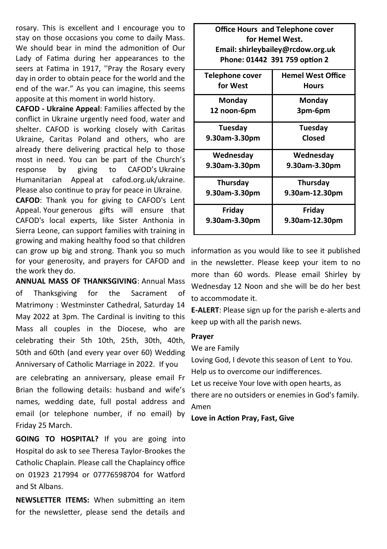rosary. This is excellent and I encourage you to stay on those occasions you come to daily Mass. We should bear in mind the admonition of Our Lady of Fatima during her appearances to the seers at Fatima in 1917, ''Pray the Rosary every day in order to obtain peace for the world and the end of the war." As you can imagine, this seems apposite at this moment in world history.

**CAFOD - Ukraine Appeal**: Families affected by the conflict in Ukraine urgently need food, water and shelter. CAFOD is working closely with Caritas Ukraine, Caritas Poland and others, who are already there delivering practical help to those most in need. You can be part of the Church's response by giving to CAFOD's Ukraine Humanitarian Appeal at cafod.org.uk/ukraine. Please also continue to pray for peace in Ukraine.

**CAFOD**: Thank you for giving to CAFOD's Lent Appeal. Your generous gifts will ensure that CAFOD's local experts, like Sister Anthonia in Sierra Leone, can support families with training in growing and making healthy food so that children can grow up big and strong. Thank you so much for your generosity, and prayers for CAFOD and the work they do.

**ANNUAL MASS OF THANKSGIVING**: Annual Mass of Thanksgiving for the Sacrament of Matrimony : Westminster Cathedral, Saturday 14 May 2022 at 3pm. The Cardinal is inviting to this Mass all couples in the Diocese, who are celebrating their 5th 10th, 25th, 30th, 40th, 50th and 60th (and every year over 60) Wedding Anniversary of Catholic Marriage in 2022. If you

are celebrating an anniversary, please email Fr Brian the following details: husband and wife's names, wedding date, full postal address and email (or telephone number, if no email) by Friday 25 March.

**GOING TO HOSPITAL?** If you are going into Hospital do ask to see Theresa Taylor-Brookes the Catholic Chaplain. Please call the Chaplaincy office on 01923 217994 or 07776598704 for Watford and St Albans.

**NEWSLETTER ITEMS:** When submitting an item for the newsletter, please send the details and

| <b>Office Hours and Telephone cover</b><br>for Hemel West. |                          |  |  |  |  |
|------------------------------------------------------------|--------------------------|--|--|--|--|
| Email: shirleybailey@rcdow.org.uk                          |                          |  |  |  |  |
| Phone: 01442 391 759 option 2                              |                          |  |  |  |  |
| Telephone cover                                            | <b>Hemel West Office</b> |  |  |  |  |
| for West                                                   | Hours                    |  |  |  |  |
| Monday                                                     | Monday                   |  |  |  |  |
| 12 noon-6pm                                                | 3pm-6pm                  |  |  |  |  |
| Tuesday                                                    | Tuesday                  |  |  |  |  |
| 9.30am-3.30pm                                              | Closed                   |  |  |  |  |
| Wednesday                                                  | Wednesday                |  |  |  |  |
| 9.30am-3.30pm                                              | 9.30am-3.30pm            |  |  |  |  |
| Thursday                                                   | <b>Thursday</b>          |  |  |  |  |
| 9.30am-3.30pm                                              | 9.30am-12.30pm           |  |  |  |  |
| Friday                                                     | Friday                   |  |  |  |  |
| 9.30am-3.30pm                                              | 9.30am-12.30pm           |  |  |  |  |

information as you would like to see it published in the newsletter. Please keep your item to no more than 60 words. Please email Shirley by Wednesday 12 Noon and she will be do her best to accommodate it.

**E-ALERT**: Please sign up for the parish e-alerts and keep up with all the parish news.

#### **Prayer**

We are Family

Loving God, I devote this season of Lent to You. Help us to overcome our indifferences. Let us receive Your love with open hearts, as

there are no outsiders or enemies in God's family. Amen

**Love in Action Pray, Fast, Give**